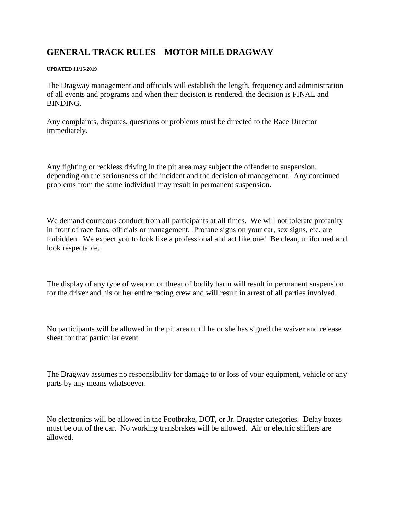## **GENERAL TRACK RULES – MOTOR MILE DRAGWAY**

## **UPDATED 11/15/2019**

The Dragway management and officials will establish the length, frequency and administration of all events and programs and when their decision is rendered, the decision is FINAL and BINDING.

Any complaints, disputes, questions or problems must be directed to the Race Director immediately.

Any fighting or reckless driving in the pit area may subject the offender to suspension, depending on the seriousness of the incident and the decision of management. Any continued problems from the same individual may result in permanent suspension.

We demand courteous conduct from all participants at all times. We will not tolerate profanity in front of race fans, officials or management. Profane signs on your car, sex signs, etc. are forbidden. We expect you to look like a professional and act like one! Be clean, uniformed and look respectable.

The display of any type of weapon or threat of bodily harm will result in permanent suspension for the driver and his or her entire racing crew and will result in arrest of all parties involved.

No participants will be allowed in the pit area until he or she has signed the waiver and release sheet for that particular event.

The Dragway assumes no responsibility for damage to or loss of your equipment, vehicle or any parts by any means whatsoever.

No electronics will be allowed in the Footbrake, DOT, or Jr. Dragster categories. Delay boxes must be out of the car. No working transbrakes will be allowed. Air or electric shifters are allowed.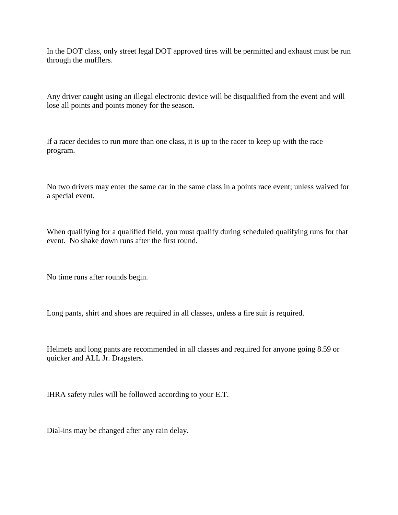In the DOT class, only street legal DOT approved tires will be permitted and exhaust must be run through the mufflers.

Any driver caught using an illegal electronic device will be disqualified from the event and will lose all points and points money for the season.

If a racer decides to run more than one class, it is up to the racer to keep up with the race program.

No two drivers may enter the same car in the same class in a points race event; unless waived for a special event.

When qualifying for a qualified field, you must qualify during scheduled qualifying runs for that event. No shake down runs after the first round.

No time runs after rounds begin.

Long pants, shirt and shoes are required in all classes, unless a fire suit is required.

Helmets and long pants are recommended in all classes and required for anyone going 8.59 or quicker and ALL Jr. Dragsters.

IHRA safety rules will be followed according to your E.T.

Dial-ins may be changed after any rain delay.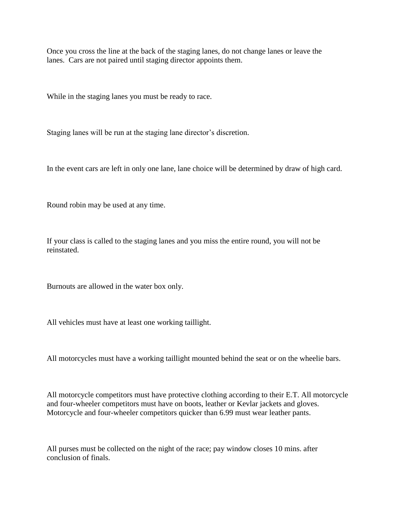Once you cross the line at the back of the staging lanes, do not change lanes or leave the lanes. Cars are not paired until staging director appoints them.

While in the staging lanes you must be ready to race.

Staging lanes will be run at the staging lane director's discretion.

In the event cars are left in only one lane, lane choice will be determined by draw of high card.

Round robin may be used at any time.

If your class is called to the staging lanes and you miss the entire round, you will not be reinstated.

Burnouts are allowed in the water box only.

All vehicles must have at least one working taillight.

All motorcycles must have a working taillight mounted behind the seat or on the wheelie bars.

All motorcycle competitors must have protective clothing according to their E.T. All motorcycle and four-wheeler competitors must have on boots, leather or Kevlar jackets and gloves. Motorcycle and four-wheeler competitors quicker than 6.99 must wear leather pants.

All purses must be collected on the night of the race; pay window closes 10 mins. after conclusion of finals.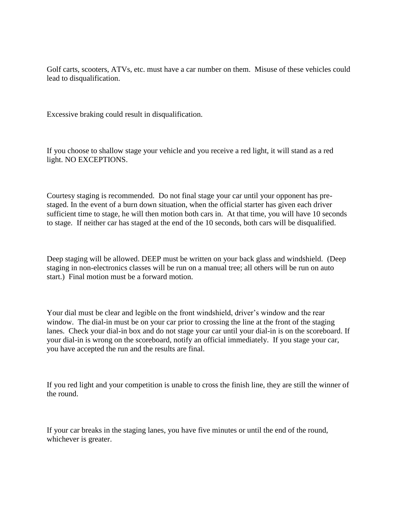Golf carts, scooters, ATVs, etc. must have a car number on them. Misuse of these vehicles could lead to disqualification.

Excessive braking could result in disqualification.

If you choose to shallow stage your vehicle and you receive a red light, it will stand as a red light. NO EXCEPTIONS.

Courtesy staging is recommended. Do not final stage your car until your opponent has prestaged. In the event of a burn down situation, when the official starter has given each driver sufficient time to stage, he will then motion both cars in. At that time, you will have 10 seconds to stage. If neither car has staged at the end of the 10 seconds, both cars will be disqualified.

Deep staging will be allowed. DEEP must be written on your back glass and windshield. (Deep staging in non-electronics classes will be run on a manual tree; all others will be run on auto start.) Final motion must be a forward motion.

Your dial must be clear and legible on the front windshield, driver's window and the rear window. The dial-in must be on your car prior to crossing the line at the front of the staging lanes. Check your dial-in box and do not stage your car until your dial-in is on the scoreboard. If your dial-in is wrong on the scoreboard, notify an official immediately. If you stage your car, you have accepted the run and the results are final.

If you red light and your competition is unable to cross the finish line, they are still the winner of the round.

If your car breaks in the staging lanes, you have five minutes or until the end of the round, whichever is greater.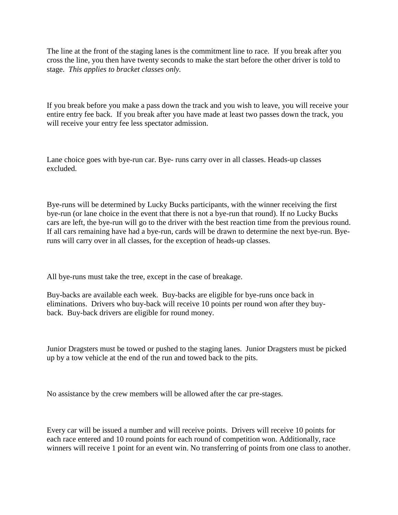The line at the front of the staging lanes is the commitment line to race. If you break after you cross the line, you then have twenty seconds to make the start before the other driver is told to stage. *This applies to bracket classes only.*

If you break before you make a pass down the track and you wish to leave, you will receive your entire entry fee back. If you break after you have made at least two passes down the track, you will receive your entry fee less spectator admission.

Lane choice goes with bye-run car. Bye- runs carry over in all classes. Heads-up classes excluded.

Bye-runs will be determined by Lucky Bucks participants, with the winner receiving the first bye-run (or lane choice in the event that there is not a bye-run that round). If no Lucky Bucks cars are left, the bye-run will go to the driver with the best reaction time from the previous round. If all cars remaining have had a bye-run, cards will be drawn to determine the next bye-run. Byeruns will carry over in all classes, for the exception of heads-up classes.

All bye-runs must take the tree, except in the case of breakage.

Buy-backs are available each week. Buy-backs are eligible for bye-runs once back in eliminations. Drivers who buy-back will receive 10 points per round won after they buyback. Buy-back drivers are eligible for round money.

Junior Dragsters must be towed or pushed to the staging lanes. Junior Dragsters must be picked up by a tow vehicle at the end of the run and towed back to the pits.

No assistance by the crew members will be allowed after the car pre-stages.

Every car will be issued a number and will receive points. Drivers will receive 10 points for each race entered and 10 round points for each round of competition won. Additionally, race winners will receive 1 point for an event win. No transferring of points from one class to another.